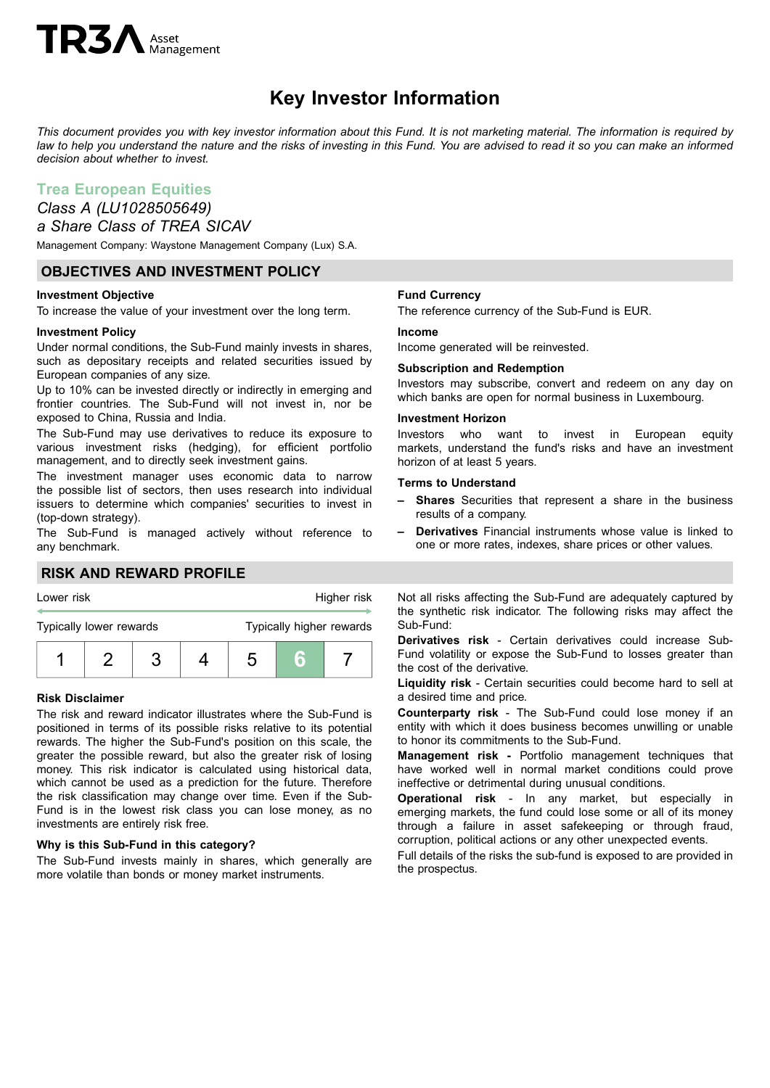# **TR3** Asset

## **Key Investor Information**

This document provides you with key investor information about this Fund. It is not marketing material. The information is required by law to help you understand the nature and the risks of investing in this Fund. You are advised to read it so you can make an informed *decision about whether to invest.*

## **Trea European Equities**

## *Class A (LU1028505649)*

### *a Share Class of TREA SICAV*

Management Company: Waystone Management Company (Lux) S.A.

#### **OBJECTIVES AND INVESTMENT POLICY**

#### **Investment Objective**

To increase the value of your investment over the long term.

#### **Investment Policy**

Under normal conditions, the Sub-Fund mainly invests in shares, such as depositary receipts and related securities issued by European companies of any size.

Up to 10% can be invested directly or indirectly in emerging and frontier countries. The Sub-Fund will not invest in, nor be exposed to China, Russia and India.

The Sub-Fund may use derivatives to reduce its exposure to various investment risks (hedging), for efficient portfolio management, and to directly seek investment gains.

The investment manager uses economic data to narrow the possible list of sectors, then uses research into individual issuers to determine which companies' securities to invest in (top-down strategy).

The Sub-Fund is managed actively without reference to any benchmark.

#### **RISK AND REWARD PROFILE**



#### **Risk Disclaimer**

The risk and reward indicator illustrates where the Sub-Fund is positioned in terms of its possible risks relative to its potential rewards. The higher the Sub-Fund's position on this scale, the greater the possible reward, but also the greater risk of losing money. This risk indicator is calculated using historical data, which cannot be used as a prediction for the future. Therefore the risk classification may change over time. Even if the Sub-Fund is in the lowest risk class you can lose money, as no investments are entirely risk free.

#### **Why is this Sub-Fund in this category?**

The Sub-Fund invests mainly in shares, which generally are more volatile than bonds or money market instruments.

#### **Fund Currency**

The reference currency of the Sub-Fund is EUR.

#### **Income**

Income generated will be reinvested.

#### **Subscription and Redemption**

Investors may subscribe, convert and redeem on any day on which banks are open for normal business in Luxembourg.

#### **Investment Horizon**

Investors who want to invest in European equity markets, understand the fund's risks and have an investment horizon of at least 5 years.

#### **Terms to Understand**

- **– Shares** Securities that represent a share in the business results of a company.
- **– Derivatives** Financial instruments whose value is linked to one or more rates, indexes, share prices or other values.

Not all risks affecting the Sub-Fund are adequately captured by the synthetic risk indicator. The following risks may affect the Sub-Fund:

**Derivatives risk** - Certain derivatives could increase Sub-Fund volatility or expose the Sub-Fund to losses greater than the cost of the derivative.

**Liquidity risk** - Certain securities could become hard to sell at a desired time and price.

**Counterparty risk** - The Sub-Fund could lose money if an entity with which it does business becomes unwilling or unable to honor its commitments to the Sub-Fund.

**Management risk -** Portfolio management techniques that have worked well in normal market conditions could prove ineffective or detrimental during unusual conditions.

**Operational risk** - In any market, but especially in emerging markets, the fund could lose some or all of its money through a failure in asset safekeeping or through fraud, corruption, political actions or any other unexpected events.

Full details of the risks the sub-fund is exposed to are provided in the prospectus.